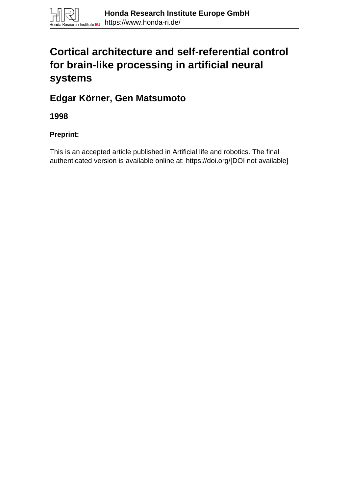# **Cortical architecture and self-referential control for brain-like processing in artificial neural systems**

**Edgar Körner, Gen Matsumoto**

**1998**

### **Preprint:**

This is an accepted article published in Artificial life and robotics. The final authenticated version is available online at: https://doi.org/[DOI not available]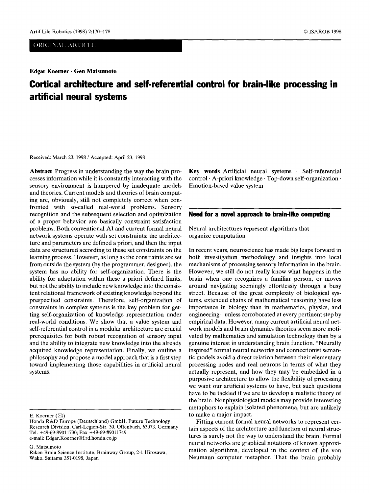#### ORIGINAL ARTICLE

**Edgar Koerner · Gen Matsumoto** 

## **Cortical architecture and self-referential control for brain-like processing in artificial neural systems**

Received: March 23, 1998 / Accepted: April 23, 1998

**Abstract** Progress in understanding the way the brain processes information while it is constantly interacting with the sensory environment is hampered by inadequate models and theories. Current models and theories of brain computing are, obviously, still not completely correct when confronted with so-called real-world problems. Sensory recognition and the subsequent selection and optimization of a proper behavior are basically constraint satisfaction problems. Both conventional AI and current formal neural network systems operate with set constraints: the architecture and parameters are defined a priori, and then the input data are structured according to these set constraints on the learning process. However, as long as the constraints are set from outside the system (by the programmer, designer), the system has no ability for self-organization. There is the ability for adaptation within these a priori defined limits, but not the ability to include new knowledge into the consistent relational framework of existing knowledge beyond the prespecified constraints. Therefore, self-organization of constraints in complex systems is the key problem for getting self-organization of knowledge representation under real-world conditions. We show that a value system and self-referential control in a modular architecture are crucial prerequisites for both robust recognition of sensory input and the ability to integrate new knowledge into the already acquired knowledge representation. Finally, we outline a philosophy and propose a model approach that is a first step toward implementing those capabilities in artificial neural systems.

#### G. Matsumoto

Key words Artificial neural systems · Self-referential control · A-priori knowledge · Top-down self-organization · Emotion-based value system

#### **Need for a novel approach to brain-like computing**

Neural architectures represent algorithms that organize computation

In recent years, neuroscience has made big leaps forward in both investigation methodology and insights into local mechanisms of processing sensory information in the brain. However, we still do not really know what happens in the brain when one recognizes a familiar person, or moves around navigating seemingly effortlessly through a busy street. Because of the great complexity of biological systems, extended chains of mathematical reasoning have less importance in biology than in mathematics, physics, and engineering- unless corroborated at every pertinent step by empirical data. However, many current artificial neural network models and brain dynamics theories seem more motivated by mathematics and simulation technology than by a genuine interest in understanding brain function. "Neurally inspired" formal neural networks and connectionist semantic models avoid a direct relation between their elementary processing nodes and real neurons in terms of what they actually represent, and how they may be embedded in a purposive architecture to allow the flexibility of processing we want our artificial systems to have, but such questions have to be tackled if we are to develop a realistic theory of the brain. Nonphysiological models may provide interesting metaphors to explain isolated phenomena, but are unlikely to make a major impact.

Fitting current formal neural networks to represent certain aspects of the architecture and function of neural structures is surely not the way to understand the brain. Formal neural networks are graphical notations of known approximation algorithms, developed in the context of the von Neumann computer metaphor. That the brain probably

E. Koerner  $(\boxtimes)$ 

Honda R&D Europe (Deutschland) GmbH, Future Technology Research Division, Carl-Legien-Str. 30, Offenbach, 63073, Germany Tel. +49-69-89011730; Fax +49-69-89011749 e-mail: Edgar.Koerner@f.rd.honda.co.jp

Riken Brain Science Institute, Brainway Group, 2-1 Hirosawa, Wako, Saitama 351-0198, Japan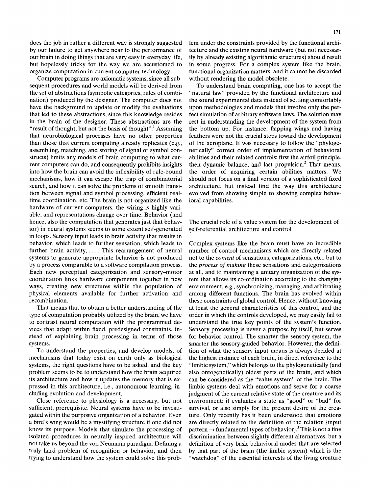does the job in rather a different way is strongly suggested by our failure to get anywhere near to the performance of our brain in doing things that are very easy in everyday life, but hopelessly tricky for the way we are accustomed to organize computation in current computer technology.

Computer programs are axiomatic systems, since all subsequent procedures and world models will be derived from the set of abstractions (symbolic categories, rules of combination) produced by the designer. The computer does not have the background to update or modify the evaluations that led to these abstractions, since this knowledge resides in the brain of the designer. These abstractions are the "result of thought, but not the basis of thought".<sup>1</sup> Assuming that neurobiological processes have no other properties than those that current computing already replicates (e.g., assembling, matching, and storing of signal or symbol constructs) limits any models of brain computing to what current computers can do, and consequently prohibits insights into how the brain can avoid the inflexibility of rule-bound mechanisms, how it can escape the trap of combinatorial search, and how it can solve the problems of smooth transition between signal and symbol processing, efficient realtime coordination, etc. The brain is not organized like the hardware of current computers: the wiring is highly variable, and representations change over time. Behavior (and hence, also the computation that generates just that behavior) in neural systems seems to some extent self-generated in loops. Sensory input leads to brain activity that results in behavior, which leads to further sensation, which leads to further brain activity,.... This rearrangement of neural systems to generate appropriate behavior is not produced by a process comparable to a software compilation process. Each new perceptual categorization and sensory-motor coordination links hardware components together in new ways, creating new structures within the population of physical elements available for further activation and recombination.

That means that to obtain a better understanding of the type of computation probably utilized by the brain, we have to contrast neural computation with the programmed devices that adapt within fixed, predesigned constraints, instead of explaining brain processing in terms of those systems.

To understand the properties, and develop models, of mechanisms that today exist on earth only as biological systems, the right questions have to be asked, and the key problem seems to be to understand how the brain acquired its architecture and how it updates the memory that is expressed in this architecture, i.e., autonomous learning, including evolution and development.

Close reference to physiology is a necessary, but not sufficient, prerequisite. Neural systems have to be investigated within the purposive organization of a behavior. Even a bird's wing would be a mystifying structure if one did not know its purpose. Models that simulate the processing of isolated procedures in neurally inspired architecture will not take us beyond the von Neumann paradigm. Defining a truly hard problem of recognition or behavior, and then trying to understand how the system could solve this problem under the constraints provided by the functional architecture and the existing neural hardware (but not necessarily by already existing algorithmic structures) should result in some progress. For a complex system like the brain, functional organization matters, and it cannot be discarded without rendering the model obsolete.

To understand brain computing, one has to accept the "natural law" provided by the functional architecture and the sound experimental data instead of settling comfortably upon methodologies and models that involve only the perfect simulation of arbitrary software laws. The solution may rest in understanding the development of the system from the bottom up. For instance, flapping wings and having feathers were not the crucial steps toward the development of the aeroplane. It was necessary to follow the "phylogenetically" correct order of implementation of behavioral abilities and their related controls: first the airfoil principle, then dynamic balance, and last propulsion.<sup>2</sup> That means, the order of acquiring certain abilities matters. We should not focus on a final version of a sophisticated fixed architecture, but instead find the way this architecture evolved from showing simple to showing complex behavioral capabilities.

The crucial role of a value system for the development of self-referential architecture and control

Complex systems like the brain must have an incredible number of control mechanisms which are directly related not to the *content* of sensations, categorizations, etc., but to the *process of making* these sensations and categorizations at all, and to maintaining a unitary organization of the system that allows its co-ordination according to the changing environment, e.g., synchronizing, managing, and arbitrating among different functions. The brain has evolved within these constraints of global control. Hence, without knowing at least the general characteristics of this control, and the order in which the controls developed, we may easily fail to understand the true key points of the system's function. Sensory processing is never a purpose by itself, but serves for behavior control. The smarter the sensory system, the smarter the sensory-guided behavior. However, the definition of what the sensory input means is always decided at the highest instance of each brain, in direct reference to the "limbic system," which belongs to the phylogenetically (and also ontogenetically) oldest parts of the brain, and which can be considered as the "value system" of the brain. The limbic systems deal with emotions and serve for a coarse judgment of the current relative state of the creature and its environment: it evaluates a state as "good" or "bad" for survival, or also simply for the present desire of the creature. Only recently has it been understood that emotions are directly related to the definition of the relation {input pattern  $\rightarrow$  fundamental types of behavior}.<sup>3</sup> This is not a fine discrimination between slightly different alternatives, but a definition of very basic behavioral modes that are selected by that part of the brain (the limbic system) which is the "watchdog" of the essential interests of the living creature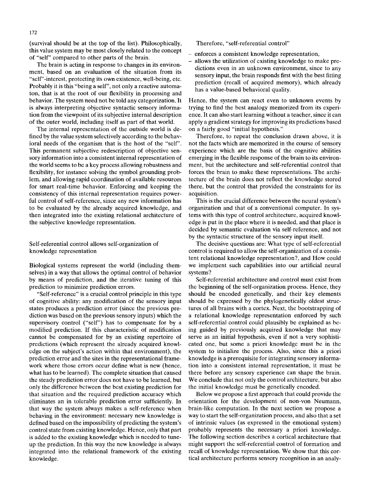(survival should be at the top of the list). Philosophically, this value system may be most closely related to the concept of "self" compared to other parts of the brain.

The brain is acting in response to changes in its environment, based on an evaluation of the situation from its "self"-interest, protecting its own existence, well-being, etc. Probably it is this "being a self", not only a reactive automaton, that is at the root of our flexibility in processing and behavior. The system need not be told any categorization. It is always interpreting objective syntactic sensory information from the viewpoint of its subjective internal description of the outer world, including itself as part of that world.

The internal representation of the outside world is defined by the value system selectively according to the behavioral needs of the organism that is the host of the "self". This permanent subjective redescription of objective sensory information into a consistent internal representation of the world seems to be a key process allowing robustness and flexibility, for instance solving the symbol grounding problem, and allowing rapid coordination of available resources for smart real-time behavior. Enforcing and keeping the consistency of this internal representation requires powerful control of self-reference, since any new information has to be evaluated by the already acquired knowledge, and then integrated into the existing relational architecture of the subjective knowledge representation.

#### Self-referential control allows self-organization of knowledge representation

Biological systems represent the world (including themselves) in a way that allows the optimal control of behavior by means of prediction, and the iterative tuning of this prediction to minimize prediction errors.

"Self-reference" is a crucial control principle in this type of cognitive ability: any modification of the sensory input states produces a prediction error (since the previous prediction was based on the previous sensory inputs) which the supervisory control ("self") has to compensate for by a modified prediction. If this characteristic of modification cannot be compensated for by an existing repertoire of predictions (which represent the already acquired knowledge on the subject's action within that environment), the prediction error and the sites in the representational framework where those errors occur define what is new (hence, what has to be learned). The complete situation that caused the steady prediction error does not have to be learned, but only the difference between the best existing prediction for that situation and the required prediction accuracy which eliminates an in tolerable prediction error sufficiently. In that way the system always makes a self-reference when behaving in the environment: necessary new knowledge is defined based on the impossibility of predicting the system's control state from existing knowledge. Hence, only that part is added to the existing knowledge which is needed to tuneup the prediction. In this way the new knowledge is always integrated into the relational framework of the existing knowledge.

Therefore, "self-referential control"

- enforces a consistent knowledge representation,
- allows the utilization of existing knowledge to make predictions even in an unknown environment, since to any sensory input, the brain responds first with the best fitting prediction (recall of acquired memory), which already has a value-based behavioral quality.

Hence, the system can react even to unknown events by trying to find the best analogy memorized from its experience. It can also start learning without a teacher, since it can apply a gradient strategy for improving its predictions based on a fairly good "initial hypothesis."

Therefore, to repeat the conclusion drawn above, it is not the facts which are memorized in the course of sensory experience which are the basis of the cognitive abilities emerging in the flexible response of the brain to its environment, but the architecture and self-referential control that forces the brain to make these representations. The architecture of the brain does not reflect the knowledge stored there, but the control that provided the constraints for its acquisition.

This is the crucial difference between the neural system's organization and that of a conventional computer. In systems with this type of control architecture, acquired knowledge is put in the place where it is needed, and that place is decided by semantic evaluation via self-reference, and not by the syntactic structure of the sensory input itself.

The decisive questions are: What type of self-referential control is required to allow the self-organization of a consistent relational knowledge representation?, and How could we implement such capabilities into our artificial neural systems?

Self-referential architecture and control must exist from the beginning of the self-organization process. Hence, they should be encoded genetically, and their key elements should be expressed by the phylogenetically oldest structures of all brains with a cortex. Next, the bootstrapping of a relational knowledge representation enforced by such self-referential control could plausibly be explained as being guided by previously acquired knowledge that may serve as an initial hypothesis, even if not a very sophisticated one, but some a priori knowledge must be in the system to initialize the process. Also, since this a priori knowledge is a prerequisite for integrating sensory information into a consistent internal representation, it must be there before any sensory experience can shape the brain. We conclude that not only the control architecture, but also the initial knowledge must be genetically encoded.

Below we propose a first approach that could provide the orientation for the development of non-von Neumann, brain-like computation. In the next section we propose a way to start the self-organization process, and also that a set of intrinsic values (as expressed in the emotional system) probably represents the necessary a priori knowledge. The following section describes a cortical architecture that might support the self-referential control of formation and recall of knowledge representation. We show that this cortical architecture performs sensory recognition in an analy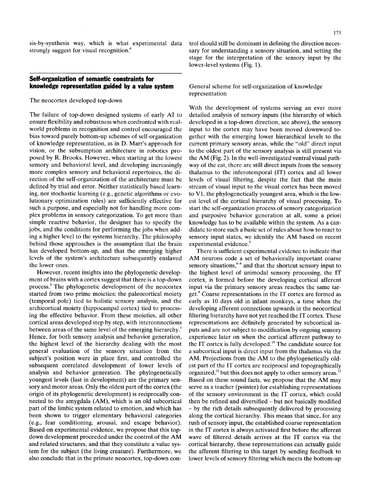sis-by-synthesis way, which is what experimental data strongly suggest for visual recognition.

#### **Self-organization of semantic constraints for knowledge representation guided by a value system**

The neocortex developed top-down

The failure of top-down designed systems of early AI to ensure flexibility and robustness when confronted with realworld problems in recognition and control encouraged the bias toward purely bottom-up schemes of self-organization of knowledge representation, as in D. Marr's approach for vision, or the subsumption architecture in robotics proposed by R. Brooks. However, when starting at the lowest sensory and behavioral level, and developing increasingly more complex sensory and behavioral repertoires, the direction of the self-organization of the architecture must be defined by trial and error. Neither statistically based learning, nor stochastic learning (e.g., genetic algorithms or evolutionary optimization rules) are sufficiently effective for such a purpose, and especially not for handling more complex problems in sensory categorization. To get more than simple reactive behavior, the designer has to specify the jobs, and the conditions for performing the jobs when adding a higher level to the systems hierarchy. The philosophy behind those approaches is the assumption that the brain has developed bottom-up, and that the emerging higher levels of the system's architecture subsequently enslaved the lower ones.

However, recent insights into the phylogenetic development of brains with a cortex suggest that there is a top-down process. 3 The phylogenetic development of the neocortex started from two prime moieties: the paleocortical moiety (temporal pole) tied to holistic sensory analysis, and the archicortical moiety (hippocampal cortex) tied to processing the effective behavior. From these moieties, all other cortical areas developed step by step, with interconnections between areas of the same level of the emerging hierarchy.<sup>5</sup> Hence, for both sensory analysis and behavior generation, the highest level of the hierarchy dealing with the most general evaluation of the sensory situation from the subject's position were in place first, and controlled the subsequent correlated development of lower levels of analysis and behavior generation. The phylogenetically youngest levels (last in development) are the primary sensory and motor areas. Only the oldest part of the cortex (the origin of its phylogenetic development) is reciprocally connected to the amygdala (AM), which is an old subcortical part of the limbic system related to emotion, and which has been shown to trigger elementary behavioral categories (e.g., fear conditioning, arousal, and escape behavior). Based on experimental evidence, we propose that this topdown development proceeded under the control of the AM and related structures, and that they constitute a value system for the subject (the living creature). Furthermore, we also conclude that in the primate neocortex, top-down control should still be dominant in defining the direction necessary for understanding a sensory situation, and setting the stage for the interpretation of the sensory input by the lower-level systems (Fig. 1).

General scheme for self-organization of knowledge representation

With the development of systems serving an ever more detailed analysis of sensory inputs (the hierarchy of which developed in a top-down direction, see above), the sensory input to the cortex may have been moved downward together with the emerging lower hierarchical levels to the current primary sensory areas, while the "old" direct input to the oldest part of the sensory analysis is still present via the AM (Fig. 2). In the well-investigated ventral visual pathway of the cat, there are still direct inputs from the sensory thalamus to the inferotemporal (IT) cortex and all lower levels of visual filtering, despite the fact that the main stream of visual input to the visual cortex has been moved to V1, the phylogenetically youngest area, which is the lowest level of the cortical hierarchy of visual processing. To start the self-organization process of sensory categorization and purposive behavior generation at all, some a priori knowledge has to be available within the system. As a candidate to store such a basic set of rules about how to react to sensory input states, we identify the AM based on recent experimental evidence.<sup>3</sup>

There is sufficient experimental evidence to indicate that AM neurons code a set of behaviorally important coarse sensory situations,  $6-8$  and that the shortcut sensory input to the highest level of unimodal sensory processing, the IT cortex, is formed before the developing cortical afferent input via the primary sensory areas reaches the same target.<sup>9</sup> Coarse representations in the IT cortex are formed as early as 10 days old in infant monkeys, a time when the developing afferent connections upwards in the neocortical filtering hierarchy have not yet reached the IT cortex. These representations are definitely generated by subcortical inputs and are not subject to modification by ongoing sensory experience later on when the cortical afferent pathway to the IT cortex is fully developed. $10$  The candidate source for a subcortical input is direct input from the thalamus via the AM. Projections from the AM to the phylogenetically oldest part of the IT cortex are reciprocal and topographically organized, $<sup>11</sup>$  but this does not apply to other sensory areas.<sup>12</sup></sup> Based on these sound facts, we propose that the AM may serve as a teacher (pointer) for establishing representations of the sensory environment in the IT cortex, which could then be refined and diversified - but not basically modified **-** by the rich details subsequently delivered by processing along the cortical hierarchy. This means that since, for any rush of sensory input, the established coarse representation in the IT cortex is always activated first before the afferent wave of filtered details arrives at the IT cortex via the cortical hierarchy, these representations can actually guide the afferent filtering to this target by sending feedback to lower levels of sensory filtering which meets the bottom-up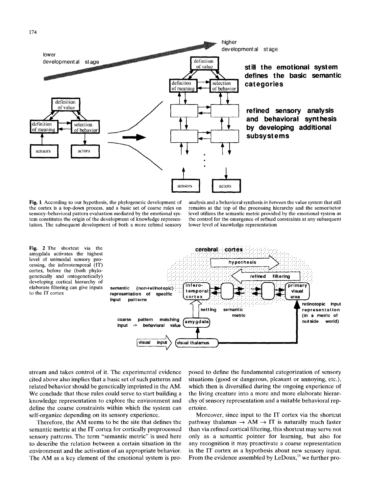higher developmental st **age**  lower developmental stage definition of value **<sup>|</sup>of value | still the emotional system**  defines the basic semantic **Indefinition 1-4 I** selection **Categories** of behavior of behavior definition **lof** value **and value later of value later and value later of value later of value later of value later of value later of value later of value later of value later of value later of value later l If and behavioral synthesis and behavioral synthesis and behavioral synthesis** of meaning **I**<br>of behavior **I ~ subsyst ems !** scnsors **t I** actors  $\lfloor$ 

> analysis and a behavioral synthesis *in between* the value system that still remains at the top of the processing hierarchy and the sensor/actor level utilizes the semantic metric provided by the emotional system as the control for the emergence of refined constraints at any subsequent lower level of knowledge representation



Fig. 1 According to our hypothesis, the phylogenetic development of the cortex is a top-down process, and a basic set of coarse rules on

Fig. 2 The shortcut via the amygdala activates the highest level of unimodal sensory processing, the inferotemporal (IT) cortex, before the (both phylogenetically and ontogenetically) developing cortical hierarchy of elaborate filtering can give inputs to the IT cortex



**J se=s0rs I I actors I** 

stream and takes control of it. The experimental evidence cited above also implies that a basic set of such patterns and related behavior should be genetically imprinted in the AM. We conclude that these rules could serve to start building a knowledge representation to explore the environment and define the coarse constraints within which the system can self-organize depending on its sensory experience.

Therefore, the AM seems to be the site that defines the semantic metric at the IT cortex for cortically preprocessed sensory patterns. The term "semantic metric" is used here to describe the relation between a certain situation in the environment and the activation of an appropriate behavior. The AM as a key element of the emotional system is proposed to define the fundamental categorization of sensory situations (good or dangerous, pleasant or annoying, etc.), which then is diversified during the ongoing experience of the living creature into a more and more elaborate hierarchy of sensory representation and a suitable behavioral repertoire.

Moreover, since input to the IT cortex via the shortcut pathway thalamus  $\rightarrow$  AM  $\rightarrow$  IT is naturally much faster than via refined cortical filtering, this shortcut may serve not only as a semantic pointer for learning, but also for any recognition it may preactivate a coarse representation in the IT cortex as a hypothesis about new sensory input. From the evidence assembled by LeDoux, $^{13}$  we further pro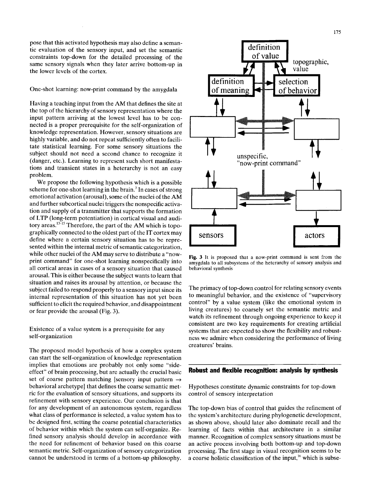pose that this activated hypothesis may also define a semantic evaluation of the sensory input, and set the semantic constraints top-down for the detailed processing of the same sensory signals when they later arrive bottom-up in the lower levels of the cortex.

#### One-shot learning: now-print command by the amygdala

Having a teaching input from the AM that defines the site at the top of the hierarchy of sensory representation where the input pattern arriving at the lowest level has to be connected is a proper prerequisite for the self-organization of knowledge representation. However, sensory situations are highly variable, and do not repeat sufficiently often to facilitate statistical learning. For some sensory situations the subject should not need a second chance to recognize it (danger, etc.). Learning to represent such short manifestations and transient states in a heterarchy is not an easy problem.

We propose the following hypothesis which is a possible scheme for one-shot learning in the brain.<sup>3</sup> In cases of strong emotional activation (arousal), some of the nuclei of the AM **[** and further subcortical nuclei triggers the nonspecific activation and supply of a transmitter that supports the formation of LTP (long-term potentiation) in cortical visual and auditory areas.<sup>13-15</sup> Therefore, the part of the AM which is topographically connected to the oldest part of the IT cortex may ] define where a certain sensory situation has to be repre-<br>sented within the internal metric of semantic categorization, while other nuclei of the AM may serve to distribute a "nowprint command" for one-shot learning nonspecifically into all cortical areas in cases of a sensory situation that caused arousal. This is either because the subject wants to learn that situation and raises its arousal by attention, or because the subject failed to respond properly to a sensory input since its internal representation of this situation has not yet been sufficient to elicit the required behavior, and disappointment or fear provide the arousal (Fig. 3).

Existence of a value system is a prerequisite for any self-organization

The proposed model hypothesis of how a complex system can start the self-organization of knowledge representation implies that emotions are probably not only some "sideeffect" of brain processing, but are actually the crucial basic set of coarse pattern matching {sensory input pattern  $\rightarrow$ behavioral archetype} that defines the coarse semantic metric for the evaluation of sensory situations, and supports its refinement with sensory experience. Our conclusion is that for any development of an autonomous system, regardless what class of performance is selected, a value system has to be designed first, setting the coarse potential characteristics of behavior within which the system can self-organize. Refined sensory analysis should develop in accordance with the need for refinement of behavior based on this coarse semantic metric. Self-organization of sensory categorization cannot be understood in terms of a bottom-up philosophy.



Fig. 3 It is proposed that a now-print command is sent from the amygdala to all subsystems of the heterarchy of sensory analysis and behavioral synthesis

The primacy of top-down control for relating sensory events to meaningful behavior, and the existence of "supervisory control" by a value system (like the emotional system in living creatures) to coarsely set the semantic metric and watch its refinement through ongoing experience to keep it consistent are two key requirements for creating artificial systems that are expected to show the flexibility and robustness we admire when considering the performance of living creatures' brains.

### **Robust and flexible recognition: analysis by synthesis**

Hypotheses constitute dynamic constraints for top-down control of sensory interpretation

The top-down bias of control that guides the refinement of the system's architecture during phylogenetic development, as shown above, should later also dominate recall and the learning of facts within that architecture in a similar manner. Recognition of complex sensory situations must be an active process involving both bottom-up and top-down processing. The first stage in visual recognition seems to be a coarse holistic classification of the input, $16$  which is subse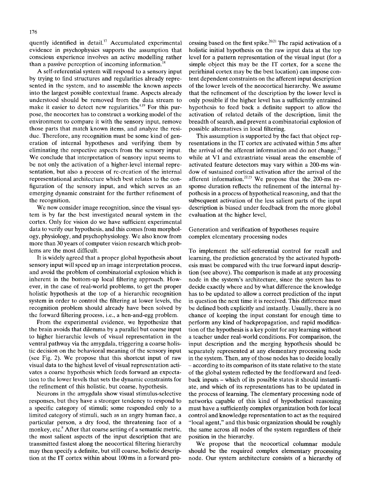quently identified in detail.<sup>17</sup> Accumulated experimental evidence in psychophysics supports the assumption that conscious experience involves an active modelling rather than a passive perception of incoming information.<sup>18</sup>

A self-referential system will respond to a sensory input by trying to find structures and regularities already represented in the system, and to assemble the known aspects into the largest possible contextual frame. Aspects already understood should be removed from the data stream to make it easier to detect new regularities.<sup>4,19</sup> For this purpose, the neocortex has to construct a working model of the environment to compare it with the sensory input, remove those parts that match known items, and analyze the residue. Therefore, any recognition must be some kind of generation of internal hypotheses and verifying them by eliminating the respective aspects from the sensory input. We conclude that interpretation of sensory input seems to be not only the activation of a higher-level internal representation, but also a process of re-creation of the internal representational architecture which best relates to the configuration of the sensory input, and which serves as an emerging dynamic constraint for the further refinement of the recognition.

We now consider image recognition, since the visual system is by far the best investigated neural system in the cortex. Only for vision do we have sufficient experimental data to verify our hypothesis, and this comes from morphology, physiology, and psychophysiology. We also know from more than 30 years of computer vision research which problems are the most difficult.

It is widely agreed that a proper global hypothesis about sensory input will speed up an image interpretation process, and avoid the problem of combinatorial explosion which is inherent in the bottom-up local filtering approach. However, in the case of real-world problems, to get the proper holistic hypothesis at the top of a hierarchic recognition system in order to control the filtering at lower levels, the recognition problem should already have been solved by the forward filtering process, i.e., a hen-and-egg problem.

From the experimental evidence, we hypothesize that the brain avoids that dilemma by a parallel but coarse input to higher hierarchic levels of visual representation in the ventral pathway via the amygdala, triggering a coarse holistic decision on the behavioral meaning of the sensory input (see Fig. 2). We propose that this shortcut input of raw visual data to the highest level of visual representation activates a coarse hypothesis which feeds forward an expectation to the lower levels that sets the dynamic constraints for the refinement of this holistic, but coarse, hypothesis.

Neurons in the amygdala show visual stimulus-selective responses, but they have a stronger tendency to respond to a specific category of stimuli; some responded only to a limited category of stimuli, such as an angry human face, a particular person, a dry food, the threatening face of a monkey, etc. $\delta$  After that coarse setting of a semantic metric, the most salient aspects of the input description that are transmitted fastest along the neocortical filtering hierarchy may then specify a definite, but still coarse, holistic description at the IT cortex within about 100 ms in a forward processing based on the first spike. $20.21$  The rapid activation of a holistic initial hypothesis on the raw input data at the top level for a pattern representation of the visual input (for a simple object this may be the IT cortex, for a scene the perirhinal cortex may be the best location) can impose content dependent constraints on the afferent input description of the lower levels of the neocortical hierarchy. We assume that the refinement of the description by the lower level is only possible if the higher level has a sufficiently entrained hypothesis to feed back a definite support to allow the activation of related details of the description, limit the breadth of search, and prevent a combinatorial explosion of possible alternatives in local filtering.

This assumption is supported by the fact that object representations in the IT cortex are activated within 5 ms after the arrival of the afferent information and do not change, $^{21}$ while at V1 and extrastriate visual areas the ensemble of activated feature detectors may vary within a 200-ms window of sustained cortical activation after the arrival of the afferent information.<sup>22,23</sup> We propose that the 200-ms response duration reflects the refinement of the internal hypothesis in a process of hypothetical reasoning, and that the subsequent activation of the less salient parts of the input description is biased under feedback from the more global evaluation at the higher level,

#### Generation and verification of hypotheses require complex elementary processing nodes

To implement the self-referential control for recall and learning, the prediction generated by the activated hypothesis must be compared with the true forward input description (see above). The comparison is made at any processing node in the system's architecture, since the system has to decide exactly where and by what difference the knowledge has to be updated to allow a correct prediction of the input in question the next time it is received. This difference must be defined both explicitly and instantly. Usually, there is no chance of keeping the input constant for enough time to perform any kind of backpropagation, and rapid modification of the hypothesis is a key point for any learning without a teacher under real-world conditions. For comparison, the input description and the merging hypothesis should be separately represented at any elementary processing node in the system. Then, any of those nodes has to decide locally **-** according to its comparison of its state relative to the state of the global system reflected by the feedforward and feedback inputs - which of its possible states it should instantiate, and which of its representations has to be updated in the process of learning. The elementary processing node of networks capable of this kind of hypothetical reasoning must have a sufficiently complex organization both for local control and knowledge representation to act as the required "local agent," and this basic organization should be roughly the same across all nodes of the system regardless of their position in the hierarchy.

We propose that the neocortical columnar module should be the required complex elementary processing node. Our system architecture consists of a hierarchy of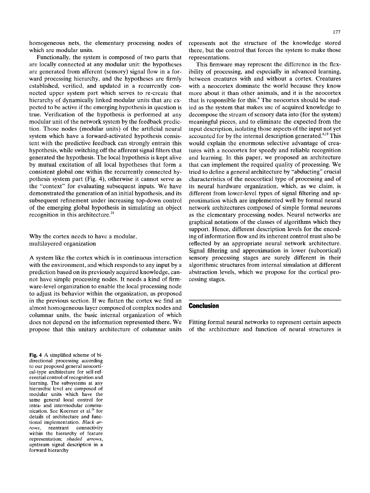homogeneous nets, the elementary processing nodes of which are modular units.

Functionally, the system is composed of two parts that are locally connected at any modular unit: the hypotheses are generated from afferent (sensory) signal flow in a forward processing hierarchy, and the hypotheses are firmly established, verified, and updated in a recurrently connected upper system part which serves to re-create that hierarchy of dynamically linked modular units that are expected to be active if the emerging hypothesis in question is true. Verification of the hypothesis is performed at any modular unit of the network system by the feedback prediction. Those nodes (modular units) of the artificial neural system which have a forward-activated hypothesis consistent with the predictive feedback can strongly entrain this hypothesis, while switching off the afferent signal filters that generated the hypothesis. The local hypothesis is kept alive by mutual excitation of all local hypotheses that form a consistent global one within the recurrently connected hypothesis system part (Fig. 4), otherwise it cannot serve as the "context" for evaluating subsequent inputs. We have demonstrated the generation of an initial hypothesis, and its subsequent refinement under increasing top-down control of the emerging global hypothesis in simulating an object recognition in this architecture.<sup>24</sup>

Why the cortex needs to have a modular, multilayered organization

A system like the cortex which is in continuous interaction with the environment, and which responds to any input by a prediction based on its previously acquired knowledge, cannot have simple processing nodes. It needs a kind of firmware-level organization to enable the local processing node to adjust its behavior within the organization, as proposed in the previous section. If we flatten the cortex we find an almost homogeneous layer composed of complex nodes and columnar units, the basic internal organization of which does not depend on the information represented there. We propose that this unitary architecture of columnar units

Fig. 4 A simplified scheme of bidirectional processing according to our proposed general neocortical-type architecture for self-referential control of recognition and learning. The subsystems at any hierarchic level are composed of modular units which have the same general local control for intra- and intermodular communication. See Koerner et al.<sup>24</sup> for nication. See Koerner et al.<sup>2</sup> details of architecture and functional implementation. *Black arrows,* reentrant connectivity within the hierarchy of feature representation; *shaded arrows,*  upstream signal description in a forward hierarchy

represents not the structure of the knowledge stored there, but the control that forces the system to make those representations.

This firmware may represent the difference in the flexibility of processing, and especially in advanced learning, between creatures with and without a cortex. Creatures with a neocortex dominate the world because they know more about it than other animals, and it is the neocortex that is responsible for this. 4 The neocortex should be studied as the system that makes use of acquired knowledge to decompose the stream of sensory data into (for the system) meaningful pieces, and to eliminate the expected from the input description, isolating those aspects of the input not yet accounted for by the internal description generated.<sup>4,19</sup> This would explain the enormous selective advantage of creatures with a neocortex for speedy and reliable recognition and learning. In this paper, we proposed an architecture that can implement the required quality of processing. We tried to define a general architecture by "abducting" crucial characteristics of the neocortical type of processing and of its neural hardware organization, which, as we claim, is different from lower-level types of signal filtering and approximation which are implemented well by formal neural network architectures composed of simple formal neurons as the elementary processing nodes. Neural networks are graphical notations of the classes of algorithms which they support. Hence, different description levels for the encoding of information flow and its inherent control must also be reflected by an appropriate neural network architecture. Signal filtering and approximation in lower (subcortical) sensory processing stages are surely different in their algorithmic structures from internal simulation at different abstraction levels, which we propose for the cortical processing stages.

#### **Conclusion**

Fitting formal neural networks to represent certain aspects of the architecture and function of neural structures is